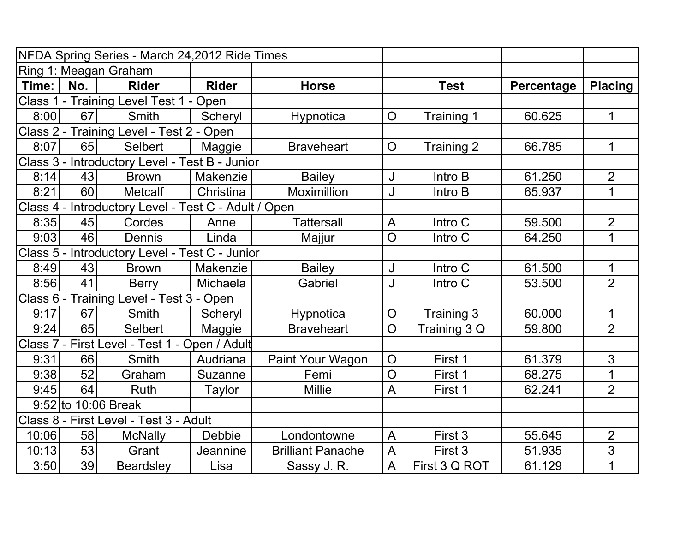|       |     | NFDA Spring Series - March 24,2012 Ride Times        |               |                          |                |               |            |                |
|-------|-----|------------------------------------------------------|---------------|--------------------------|----------------|---------------|------------|----------------|
|       |     | Ring 1: Meagan Graham                                |               |                          |                |               |            |                |
| Time: | No. | <b>Rider</b>                                         | <b>Rider</b>  | <b>Horse</b>             |                | <b>Test</b>   | Percentage | <b>Placing</b> |
|       |     | Class 1 - Training Level Test 1 - Open               |               |                          |                |               |            |                |
| 8:00  | 67  | <b>Smith</b>                                         | Scheryl       | Hypnotica                | $\overline{O}$ | Training 1    | 60.625     | $\mathbf 1$    |
|       |     | Class 2 - Training Level - Test 2 - Open             |               |                          |                |               |            |                |
| 8:07  | 65  | <b>Selbert</b>                                       | Maggie        | <b>Braveheart</b>        | O              | Training 2    | 66.785     | $\mathbf 1$    |
|       |     | Class 3 - Introductory Level - Test B - Junior       |               |                          |                |               |            |                |
| 8:14  | 43  | <b>Brown</b>                                         | Makenzie      | <b>Bailey</b>            | J              | Intro B       | 61.250     | $\overline{2}$ |
| 8:21  | 60  | <b>Metcalf</b>                                       | Christina     | Moximillion              | J              | Intro B       | 65.937     | 1              |
|       |     | Class 4 - Introductory Level - Test C - Adult / Open |               |                          |                |               |            |                |
| 8:35  | 45  | Cordes                                               | Anne          | <b>Tattersall</b>        | A              | Intro C       | 59.500     | $\overline{2}$ |
| 9:03  | 46  | <b>Dennis</b>                                        | Linda         | Majjur                   | O              | Intro C       | 64.250     | 1              |
|       |     | Class 5 - Introductory Level - Test C - Junior       |               |                          |                |               |            |                |
| 8:49  | 43  | <b>Brown</b>                                         | Makenzie      | <b>Bailey</b>            | J              | Intro C       | 61.500     | $\mathbf 1$    |
| 8:56  | 41  | <b>Berry</b>                                         | Michaela      | Gabriel                  | J              | Intro C       | 53.500     | $\overline{2}$ |
|       |     | Class 6 - Training Level - Test 3 - Open             |               |                          |                |               |            |                |
| 9:17  | 67  | Smith                                                | Scheryl       | Hypnotica                | O              | Training 3    | 60.000     | 1              |
| 9:24  | 65  | <b>Selbert</b>                                       | Maggie        | <b>Braveheart</b>        | $\overline{O}$ | Training 3 Q  | 59.800     | $\overline{2}$ |
|       |     | Class 7 - First Level - Test 1 - Open / Adult        |               |                          |                |               |            |                |
| 9:31  | 66  | <b>Smith</b>                                         | Audriana      | Paint Your Wagon         | O              | First 1       | 61.379     | 3              |
| 9:38  | 52  | Graham                                               | Suzanne       | Femi                     | O              | First 1       | 68.275     | $\overline{1}$ |
| 9:45  | 64  | Ruth                                                 | Taylor        | <b>Millie</b>            | A              | First 1       | 62.241     | $\overline{2}$ |
|       |     | $9:52$ to 10:06 Break                                |               |                          |                |               |            |                |
|       |     | Class 8 - First Level - Test 3 - Adult               |               |                          |                |               |            |                |
| 10:06 | 58  | <b>McNally</b>                                       | <b>Debbie</b> | Londontowne              | A              | First 3       | 55.645     | $\overline{2}$ |
| 10:13 | 53  | Grant                                                | Jeannine      | <b>Brilliant Panache</b> | A              | First 3       | 51.935     | 3              |
| 3:50  | 39  | <b>Beardsley</b>                                     | Lisa          | Sassy J. R.              | A              | First 3 Q ROT | 61.129     | $\mathbf 1$    |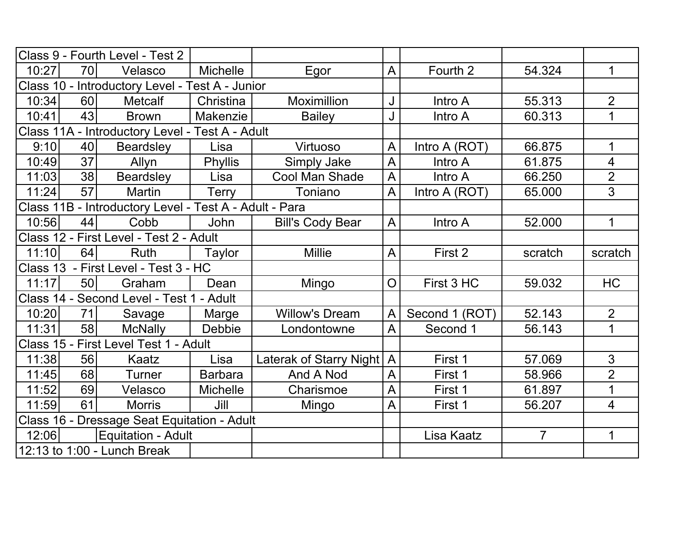|       |                 | Class 9 - Fourth Level - Test 2                        |                 |                             |                |                |                |                |
|-------|-----------------|--------------------------------------------------------|-----------------|-----------------------------|----------------|----------------|----------------|----------------|
| 10:27 | <b>70</b>       | Velasco                                                | <b>Michelle</b> | Egor                        | A              | Fourth 2       | 54.324         | 1              |
|       |                 | Class 10 - Introductory Level - Test A - Junior        |                 |                             |                |                |                |                |
| 10:34 | 60              | <b>Metcalf</b>                                         | Christina       | <b>Moximillion</b>          | J              | Intro A        | 55.313         | $\overline{2}$ |
| 10:41 | 43              | <b>Brown</b>                                           | Makenzie        | <b>Bailey</b>               | J              | Intro A        | 60.313         | 1              |
|       |                 | Class 11A - Introductory Level - Test A - Adult        |                 |                             |                |                |                |                |
| 9:10  | 40              | Beardsley                                              | Lisa            | Virtuoso                    | A              | Intro A (ROT)  | 66.875         | 1              |
| 10:49 | 37              | Allyn                                                  | <b>Phyllis</b>  | Simply Jake                 | $\overline{A}$ | Intro A        | 61.875         | $\overline{4}$ |
| 11:03 | 38              | Beardsley                                              | Lisa            | Cool Man Shade              | $\mathsf{A}$   | Intro A        | 66.250         | $\overline{2}$ |
| 11:24 | 57              | <b>Martin</b>                                          | <b>Terry</b>    | Toniano                     | A              | Intro A (ROT)  | 65.000         | 3              |
|       |                 | Class 11B - Introductory Level - Test A - Adult - Para |                 |                             |                |                |                |                |
| 10:56 | 44              | Cobb                                                   | <b>John</b>     | <b>Bill's Cody Bear</b>     | A              | Intro A        | 52.000         | $\mathbf 1$    |
|       |                 | Class 12 - First Level - Test 2 - Adult                |                 |                             |                |                |                |                |
| 11:10 | 64              | Ruth                                                   | Taylor          | <b>Millie</b>               | A              | First 2        | scratch        | scratch        |
|       |                 | Class 13 - First Level - Test 3 - HC                   |                 |                             |                |                |                |                |
| 11:17 | 50 <sup>1</sup> | Graham                                                 | Dean            | Mingo                       | $\overline{O}$ | First 3 HC     | 59.032         | HC             |
|       |                 | Class 14 - Second Level - Test 1 - Adult               |                 |                             |                |                |                |                |
| 10:20 | 71              | Savage                                                 | Marge           | <b>Willow's Dream</b>       | $\mathsf{A}$   | Second 1 (ROT) | 52.143         | $\overline{2}$ |
| 11:31 | 58              | <b>McNally</b>                                         | Debbie          | Londontowne                 | A              | Second 1       | 56.143         | 1              |
|       |                 | Class 15 - First Level Test 1 - Adult                  |                 |                             |                |                |                |                |
| 11:38 | 56              | Kaatz                                                  | Lisa            | Laterak of Starry Night   A |                | First 1        | 57.069         | 3              |
| 11:45 | 68              | Turner                                                 | <b>Barbara</b>  | And A Nod                   | $\mathsf{A}$   | First 1        | 58.966         | $\overline{2}$ |
| 11:52 | 69              | Velasco                                                | <b>Michelle</b> | Charismoe                   | A              | First 1        | 61.897         | 1              |
| 11:59 | 61              | <b>Morris</b>                                          | Jill            | Mingo                       | A              | First 1        | 56.207         | $\overline{4}$ |
|       |                 | Class 16 - Dressage Seat Equitation - Adult            |                 |                             |                |                |                |                |
| 12:06 |                 | Equitation - Adult                                     |                 |                             |                | Lisa Kaatz     | $\overline{7}$ | 1              |
|       |                 | 12:13 to 1:00 - Lunch Break                            |                 |                             |                |                |                |                |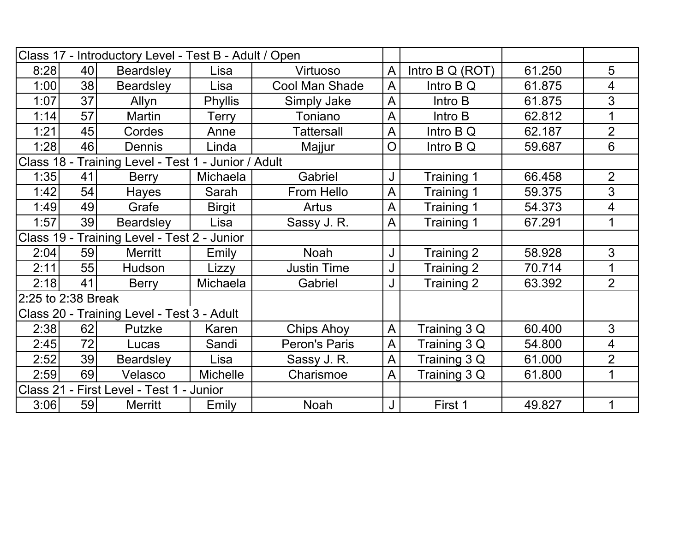|                    |    | Class 17 - Introductory Level - Test B - Adult / Open |                 |                       |                |                 |        |                |
|--------------------|----|-------------------------------------------------------|-----------------|-----------------------|----------------|-----------------|--------|----------------|
| 8:28               | 40 | <b>Beardsley</b>                                      | Lisa            | Virtuoso              | A              | Intro B Q (ROT) | 61.250 | 5              |
| 1:00               | 38 | <b>Beardsley</b>                                      | Lisa            | <b>Cool Man Shade</b> | $\overline{A}$ | Intro $BQ$      | 61.875 | 4              |
| 1:07               | 37 | Allyn                                                 | <b>Phyllis</b>  | Simply Jake           | $\bigwedge$    | Intro B         | 61.875 | 3              |
| 1:14               | 57 | <b>Martin</b>                                         | Terry           | Toniano               | A              | Intro B         | 62.812 | 1              |
| 1:21               | 45 | Cordes                                                | Anne            | <b>Tattersall</b>     | A              | Intro B Q       | 62.187 | $\overline{2}$ |
| 1:28               | 46 | Dennis                                                | Linda           | Majjur                | O              | Intro B Q       | 59.687 | 6              |
|                    |    | Class 18 - Training Level - Test 1 - Junior / Adult   |                 |                       |                |                 |        |                |
| 1:35               | 41 | <b>Berry</b>                                          | Michaela        | Gabriel               | J              | Training 1      | 66.458 | $\overline{2}$ |
| 1:42               | 54 | Hayes                                                 | Sarah           | From Hello            | A              | Training 1      | 59.375 | 3              |
| 1:49               | 49 | Grafe                                                 | <b>Birgit</b>   | <b>Artus</b>          | $\overline{A}$ | Training 1      | 54.373 | 4              |
| 1:57               | 39 | <b>Beardsley</b>                                      | Lisa            | Sassy J. R.           | A              | Training 1      | 67.291 | 1              |
|                    |    | Class 19 - Training Level - Test 2 - Junior           |                 |                       |                |                 |        |                |
| 2:04               | 59 | <b>Merritt</b>                                        | Emily           | <b>Noah</b>           | J              | Training 2      | 58.928 | 3              |
| 2:11               | 55 | Hudson                                                | Lizzy           | <b>Justin Time</b>    | J              | Training 2      | 70.714 | 1              |
| 2:18               | 41 | <b>Berry</b>                                          | Michaela        | Gabriel               | J              | Training 2      | 63.392 | $\overline{2}$ |
| 2:25 to 2:38 Break |    |                                                       |                 |                       |                |                 |        |                |
|                    |    | Class 20 - Training Level - Test 3 - Adult            |                 |                       |                |                 |        |                |
| 2:38               | 62 | Putzke                                                | Karen           | <b>Chips Ahoy</b>     | A              | Training 3 Q    | 60.400 | 3              |
| 2:45               | 72 | Lucas                                                 | Sandi           | Peron's Paris         | A              | Training 3 Q    | 54.800 | 4              |
| 2:52               | 39 | <b>Beardsley</b>                                      | Lisa            | Sassy J. R.           | A              | Training 3 Q    | 61.000 | $\overline{2}$ |
| 2:59               | 69 | Velasco                                               | <b>Michelle</b> | Charismoe             | $\overline{A}$ | Training 3 Q    | 61.800 | $\mathbf 1$    |
| <b>Class 21 -</b>  |    | First Level - Test 1 - Junior                         |                 |                       |                |                 |        |                |
| 3:06               | 59 | <b>Merritt</b>                                        | Emily           | <b>Noah</b>           | J              | First 1         | 49.827 | 1              |